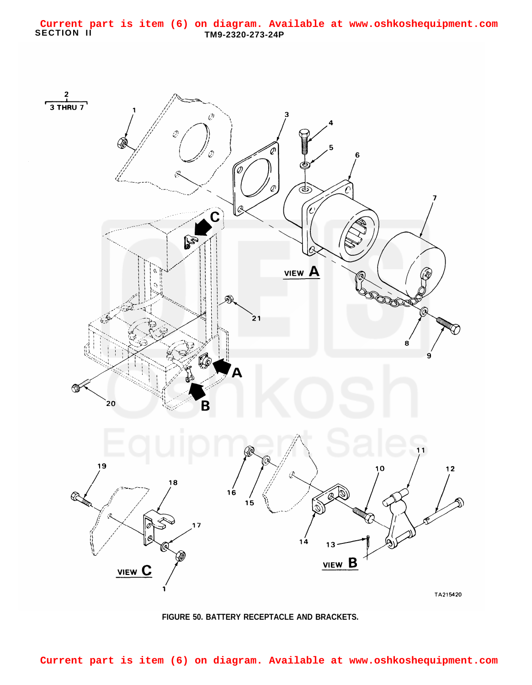## **SECTION II TM9-2320-273-24P Current part is item (6) on diagram. Available at www.oshkoshequipment.com**



## **FIGURE 50. BATTERY RECEPTACLE AND BRACKETS.**

**Current part is item (6) on diagram. Available at www.oshkoshequipment.com**